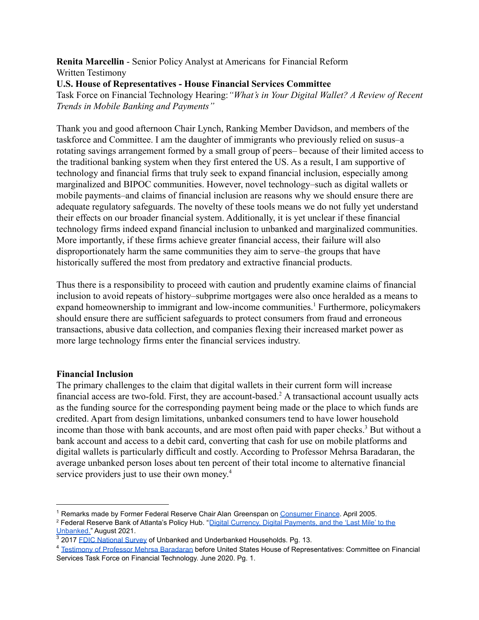**Renita Marcellin** - Senior Policy Analyst at Americans for Financial Reform Written Testimony

**U.S. House of Representatives - House Financial Services Committee**

Task Force on Financial Technology Hearing:*"What's in Your Digital Wallet? A Review of Recent Trends in Mobile Banking and Payments"*

Thank you and good afternoon Chair Lynch, Ranking Member Davidson, and members of the taskforce and Committee. I am the daughter of immigrants who previously relied on susus–a rotating savings arrangement formed by a small group of peers– because of their limited access to the traditional banking system when they first entered the US. As a result, I am supportive of technology and financial firms that truly seek to expand financial inclusion, especially among marginalized and BIPOC communities. However, novel technology–such as digital wallets or mobile payments–and claims of financial inclusion are reasons why we should ensure there are adequate regulatory safeguards. The novelty of these tools means we do not fully yet understand their effects on our broader financial system. Additionally, it is yet unclear if these financial technology firms indeed expand financial inclusion to unbanked and marginalized communities. More importantly, if these firms achieve greater financial access, their failure will also disproportionately harm the same communities they aim to serve–the groups that have historically suffered the most from predatory and extractive financial products.

Thus there is a responsibility to proceed with caution and prudently examine claims of financial inclusion to avoid repeats of history–subprime mortgages were also once heralded as a means to expand homeownership to immigrant and low-income communities.<sup>1</sup> Furthermore, policymakers should ensure there are sufficient safeguards to protect consumers from fraud and erroneous transactions, abusive data collection, and companies flexing their increased market power as more large technology firms enter the financial services industry.

### **Financial Inclusion**

The primary challenges to the claim that digital wallets in their current form will increase financial access are two-fold. First, they are account-based.<sup>2</sup> A transactional account usually acts as the funding source for the corresponding payment being made or the place to which funds are credited. Apart from design limitations, unbanked consumers tend to have lower household income than those with bank accounts, and are most often paid with paper checks.<sup>3</sup> But without a bank account and access to a debit card, converting that cash for use on mobile platforms and digital wallets is particularly difficult and costly. According to Professor Mehrsa Baradaran, the average unbanked person loses about ten percent of their total income to alternative financial service providers just to use their own money.<sup>4</sup>

<sup>&</sup>lt;sup>1</sup> Remarks made by Former Federal Reserve Chair Alan Greenspan on [Consumer Finance](https://www.federalreserve.gov/boarddocs/speeches/2005/20050408/default.htm). April 2005.

<sup>&</sup>lt;sup>2</sup> Federal Reserve Bank of Atlanta's Policy Hub. "Digital [Currency, Digital Payments, and the 'Last Mile' to the](https://www.atlantafed.org/-/media/documents/research/publications/policy-hub/2021/08/02/09-digital-payments-and-unbanked.pdf) [Unbanked."](https://www.atlantafed.org/-/media/documents/research/publications/policy-hub/2021/08/02/09-digital-payments-and-unbanked.pdf) August 2021.

<sup>&</sup>lt;sup>3</sup> 2017 [FDIC National Survey](https://www.fdic.gov/householdsurvey/2017/2017report.pdf) of Unbanked and Underbanked Households. Pg. 13.

<sup>4</sup> [Testimony of Professor Mehrsa Baradaran](https://www.congress.gov/116/meeting/house/110778/witnesses/HHRG-116-BA00-Wstate-BaradaranM-20200611.pdf) before United States House of Representatives: Committee on Financial Services Task Force on Financial Technology. June 2020. Pg. 1.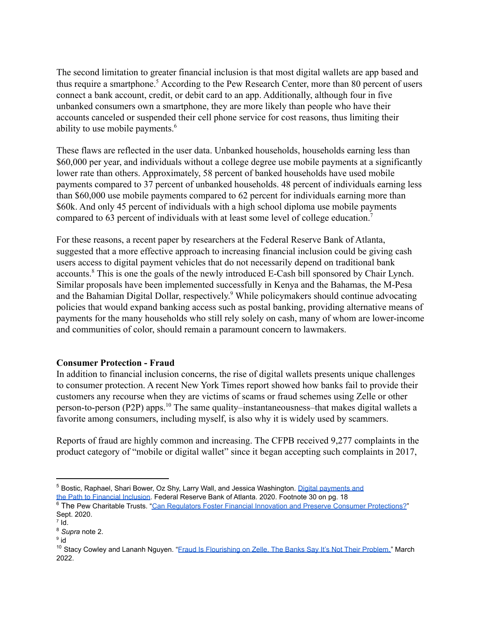The second limitation to greater financial inclusion is that most digital wallets are app based and thus require a smartphone.<sup>5</sup> According to the Pew Research Center, more than 80 percent of users connect a bank account, credit, or debit card to an app. Additionally, although four in five unbanked consumers own a smartphone, they are more likely than people who have their accounts canceled or suspended their cell phone service for cost reasons, thus limiting their ability to use mobile payments.<sup>6</sup>

These flaws are reflected in the user data. Unbanked households, households earning less than \$60,000 per year, and individuals without a college degree use mobile payments at a significantly lower rate than others. Approximately, 58 percent of banked households have used mobile payments compared to 37 percent of unbanked households. 48 percent of individuals earning less than \$60,000 use mobile payments compared to 62 percent for individuals earning more than \$60k. And only 45 percent of individuals with a high school diploma use mobile payments compared to 63 percent of individuals with at least some level of college education.<sup>7</sup>

For these reasons, a recent paper by researchers at the Federal Reserve Bank of Atlanta, suggested that a more effective approach to increasing financial inclusion could be giving cash users access to digital payment vehicles that do not necessarily depend on traditional bank accounts.<sup>8</sup> This is one the goals of the newly introduced E-Cash bill sponsored by Chair Lynch. Similar proposals have been implemented successfully in Kenya and the Bahamas, the M-Pesa and the Bahamian Digital Dollar, respectively.<sup>9</sup> While policymakers should continue advocating policies that would expand banking access such as postal banking, providing alternative means of payments for the many households who still rely solely on cash, many of whom are lower-income and communities of color, should remain a paramount concern to lawmakers.

## **Consumer Protection - Fraud**

In addition to financial inclusion concerns, the rise of digital wallets presents unique challenges to consumer protection. A recent New York Times report showed how banks fail to provide their customers any recourse when they are victims of scams or fraud schemes using Zelle or other person-to-person (P2P) apps.<sup>10</sup> The same quality–instantaneousness–that makes digital wallets a favorite among consumers, including myself, is also why it is widely used by scammers.

Reports of fraud are highly common and increasing. The CFPB received 9,277 complaints in the product category of "mobile or digital wallet" since it began accepting such complaints in 2017,

<sup>&</sup>lt;sup>5</sup> Bostic, Raphael, Shari Bower, Oz Shy, Larry Wall, and Jessica Washington. [Digital payments and](https://www.atlantafed.org/promoting-safer-payments-innovation/publications/2020/09/30/shifting-the-focus-digital-payments-and-the-path-to-financial-inclusion) [the Path to Financial Inclusion](https://www.atlantafed.org/promoting-safer-payments-innovation/publications/2020/09/30/shifting-the-focus-digital-payments-and-the-path-to-financial-inclusion). Federal Reserve Bank of Atlanta. 2020. Footnote 30 on pg. 18

<sup>&</sup>lt;sup>6</sup> The Pew Charitable Trusts. "Can Regulators Foster [Financial Innovation and Preserve Consumer Protections?](https://www.pewtrusts.org/en/research-and-analysis/issue-briefs/2020/09/can-regulators-foster-financial-innovation-and-preserve-consumer-protections)" Sept. 2020.

 $^7$  Id.

<sup>8</sup> *Supra* note 2.

<sup>9</sup> id

<sup>&</sup>lt;sup>10</sup> Stacy Cowley and Lananh Nguyen. "Fraud Is Flourishing [on Zelle. The Banks Say It's Not Their Problem."](https://www.nytimes.com/2022/03/06/business/payments-fraud-zelle-banks.html) March 2022.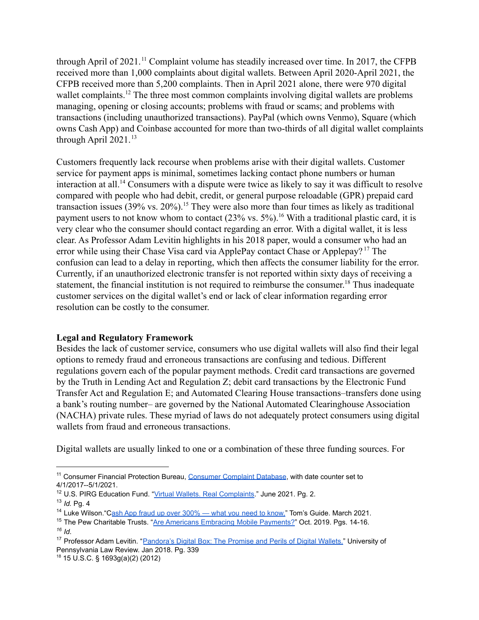through April of 2021.<sup>11</sup> Complaint volume has steadily increased over time. In 2017, the CFPB received more than 1,000 complaints about digital wallets. Between April 2020-April 2021, the CFPB received more than 5,200 complaints. Then in April 2021 alone, there were 970 digital wallet complaints.<sup>12</sup> The three most common complaints involving digital wallets are problems managing, opening or closing accounts; problems with fraud or scams; and problems with transactions (including unauthorized transactions). PayPal (which owns Venmo), Square (which owns Cash App) and Coinbase accounted for more than two-thirds of all digital wallet complaints through April  $2021$ .<sup>13</sup>

Customers frequently lack recourse when problems arise with their digital wallets. Customer service for payment apps is minimal, sometimes lacking contact phone numbers or human interaction at all.<sup>14</sup> Consumers with a dispute were twice as likely to say it was difficult to resolve compared with people who had debit, credit, or general purpose reloadable (GPR) prepaid card transaction issues (39% vs.  $20\%$ ).<sup>15</sup> They were also more than four times as likely as traditional payment users to not know whom to contact  $(23\% \text{ vs. } 5\%)$ .<sup>16</sup> With a traditional plastic card, it is very clear who the consumer should contact regarding an error. With a digital wallet, it is less clear. As Professor Adam Levitin highlights in his 2018 paper, would a consumer who had an error while using their Chase Visa card via ApplePay contact Chase or Applepay?<sup>17</sup> The confusion can lead to a delay in reporting, which then affects the consumer liability for the error. Currently, if an unauthorized electronic transfer is not reported within sixty days of receiving a statement, the financial institution is not required to reimburse the consumer.<sup>18</sup> Thus inadequate customer services on the digital wallet's end or lack of clear information regarding error resolution can be costly to the consumer.

## **Legal and Regulatory Framework**

Besides the lack of customer service, consumers who use digital wallets will also find their legal options to remedy fraud and erroneous transactions are confusing and tedious. Different regulations govern each of the popular payment methods. Credit card transactions are governed by the Truth in Lending Act and Regulation Z; debit card transactions by the Electronic Fund Transfer Act and Regulation E; and Automated Clearing House transactions–transfers done using a bank's routing number– are governed by the National Automated Clearinghouse Association (NACHA) private rules. These myriad of laws do not adequately protect consumers using digital wallets from fraud and erroneous transactions.

Digital wallets are usually linked to one or a combination of these three funding sources. For

<sup>&</sup>lt;sup>11</sup> Consumer Financial Protection Bureau, [Consumer Complaint Database](https://www.consumerfinance.gov/data-research/consumer-complaints/search/?chartType=line&dateInterval=Month&dateRange=3y&date_received_max=2022-04-27&date_received_min=2019-04-27&lens=Overview&searchField=all&tab=Trends), with date counter set to 4/1/2017--5/1/2021.

<sup>13</sup> *Id.* Pg. 4 <sup>12</sup> U.S. PIRG Education Fund. ["Virtual Wallets. Real](https://uspirg.org/sites/pirg/files/reports/VirtualWallets/Virtualwallets_USP_V3.pdf) Complaints." June 2021. Pg. 2.

<sup>&</sup>lt;sup>14</sup> Luke Wilson. "C[ash App fraud up over 300% — what you](https://www.tomsguide.com/news/cash-app-fraud-up-over-300-whatyou-need-to-know) need to know," Tom's Guide. March 2021.

*<sup>16</sup> Id*. <sup>15</sup> The Pew Charitable Trusts. "[Are Americans Embracing](https://www.pewtrusts.org/en/research-and-analysis/issue-briefs/2019/10/are-americans-embracing-mobile-payments) Mobile Payments?" Oct. 2019. Pgs. 14-16.

<sup>&</sup>lt;sup>17</sup> Professor Adam Levitin. "Pandora's Digital Box: The [Promise and Perils of Digital Wallets."](https://scholarship.law.upenn.edu/cgi/viewcontent.cgi?article=9607&context=penn_law_review) University of Pennsylvania Law Review. Jan 2018. Pg. 339

<sup>18</sup> 15 U.S.C. § 1693g(a)(2) (2012)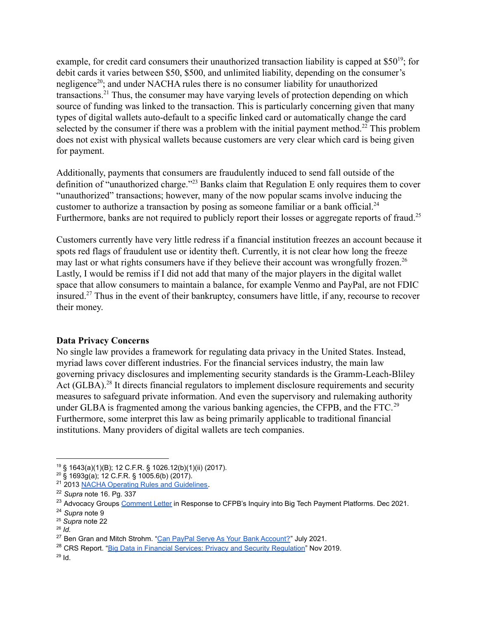example, for credit card consumers their unauthorized transaction liability is capped at  $$50<sup>19</sup>$ : for debit cards it varies between \$50, \$500, and unlimited liability, depending on the consumer's negligence<sup>20</sup>; and under NACHA rules there is no consumer liability for unauthorized transactions.<sup>21</sup> Thus, the consumer may have varying levels of protection depending on which source of funding was linked to the transaction. This is particularly concerning given that many types of digital wallets auto-default to a specific linked card or automatically change the card selected by the consumer if there was a problem with the initial payment method.<sup>22</sup> This problem does not exist with physical wallets because customers are very clear which card is being given for payment.

Additionally, payments that consumers are fraudulently induced to send fall outside of the definition of "unauthorized charge."<sup> $23$ </sup> Banks claim that Regulation E only requires them to cover "unauthorized" transactions; however, many of the now popular scams involve inducing the customer to authorize a transaction by posing as someone familiar or a bank official.<sup>24</sup> Furthermore, banks are not required to publicly report their losses or aggregate reports of fraud.<sup>25</sup>

Customers currently have very little redress if a financial institution freezes an account because it spots red flags of fraudulent use or identity theft. Currently, it is not clear how long the freeze may last or what rights consumers have if they believe their account was wrongfully frozen.<sup>26</sup> Lastly, I would be remiss if I did not add that many of the major players in the digital wallet space that allow consumers to maintain a balance, for example Venmo and PayPal, are not FDIC insured.<sup>27</sup> Thus in the event of their bankruptcy, consumers have little, if any, recourse to recover their money.

### **Data Privacy Concerns**

No single law provides a framework for regulating data privacy in the United States. Instead, myriad laws cover different industries. For the financial services industry, the main law governing privacy disclosures and implementing security standards is the Gramm-Leach-Bliley Act  $(GLBA).$ <sup>28</sup> It directs financial regulators to implement disclosure requirements and security measures to safeguard private information. And even the supervisory and rulemaking authority under GLBA is fragmented among the various banking agencies, the CFPB, and the FTC.<sup>29</sup> Furthermore, some interpret this law as being primarily applicable to traditional financial institutions. Many providers of digital wallets are tech companies.

<sup>19</sup> § 1643(a)(1)(B); 12 C.F.R. § 1026.12(b)(1)(ii) (2017).

 $20\,$  § 1693g(a); 12 C.F.R. § 1005.6(b) (2017).

<sup>&</sup>lt;sup>21</sup> 2013 [NACHA Operating Rules and Guidelines](https://perma.cc/T9R7-YJWD).

<sup>22</sup> *Supra* note 16. Pg. 337

<sup>&</sup>lt;sup>23</sup> Advocacy Groups [Comment Letter](https://ourfinancialsecurity.org/wp-content/uploads/2021/12/12.21.21-consumer-protection-CFPB-Big-Tech-Payments-Comments-Consumer-Coalition.pdf) in Response to CFPB's Inquiry into Big Tech Payment Platforms. Dec 2021.

<sup>24</sup> *Supra* note 9

<sup>25</sup> *Supra* note 22

<sup>26</sup> *Id.*

 $27$  Ben Gran and Mitch Strohm. ["Can PayPal Serve As Your](https://www.forbes.com/advisor/banking/paypal-as-bank-account/#:~:text=PayPal%20itself%20is%20not%20a,receive)%20a%20PayPal%20Cash%20Card.) Bank Account?" July 2021.

<sup>&</sup>lt;sup>28</sup> CRS Report. ["Big Data in Financial Services: Privacy](https://crsreports.congress.gov/product/pdf/IN/IN11199) and Security Regulation" Nov 2019.

 $^{29}$  Id.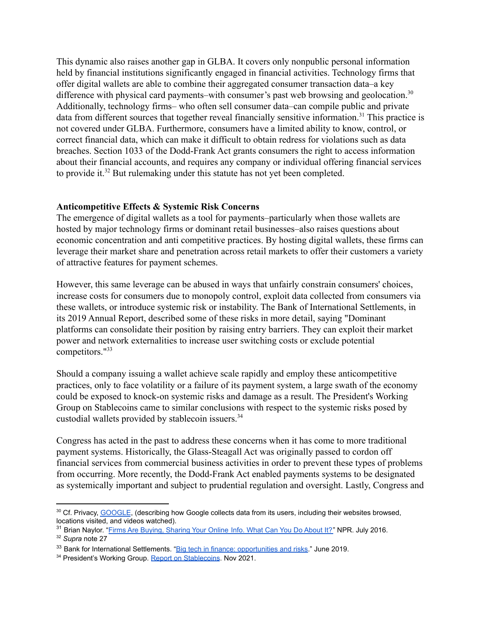This dynamic also raises another gap in GLBA. It covers only nonpublic personal information held by financial institutions significantly engaged in financial activities. Technology firms that offer digital wallets are able to combine their aggregated consumer transaction data–a key difference with physical card payments–with consumer's past web browsing and geolocation.<sup>30</sup> Additionally, technology firms– who often sell consumer data–can compile public and private data from different sources that together reveal financially sensitive information.<sup>31</sup> This practice is not covered under GLBA. Furthermore, consumers have a limited ability to know, control, or correct financial data, which can make it difficult to obtain redress for violations such as data breaches. Section 1033 of the Dodd-Frank Act grants consumers the right to access information about their financial accounts, and requires any company or individual offering financial services to provide it.<sup>32</sup> But rulemaking under this statute has not yet been completed.

### **Anticompetitive Effects & Systemic Risk Concerns**

The emergence of digital wallets as a tool for payments–particularly when those wallets are hosted by major technology firms or dominant retail businesses–also raises questions about economic concentration and anti competitive practices. By hosting digital wallets, these firms can leverage their market share and penetration across retail markets to offer their customers a variety of attractive features for payment schemes.

However, this same leverage can be abused in ways that unfairly constrain consumers' choices, increase costs for consumers due to monopoly control, exploit data collected from consumers via these wallets, or introduce systemic risk or instability. The Bank of International Settlements, in its 2019 Annual Report, described some of these risks in more detail, saying "Dominant platforms can consolidate their position by raising entry barriers. They can exploit their market power and network externalities to increase user switching costs or exclude potential competitors."<sup>33</sup>

Should a company issuing a wallet achieve scale rapidly and employ these anticompetitive practices, only to face volatility or a failure of its payment system, a large swath of the economy could be exposed to knock-on systemic risks and damage as a result. The President's Working Group on Stablecoins came to similar conclusions with respect to the systemic risks posed by custodial wallets provided by stablecoin issuers.<sup>34</sup>

Congress has acted in the past to address these concerns when it has come to more traditional payment systems. Historically, the Glass-Steagall Act was originally passed to cordon off financial services from commercial business activities in order to prevent these types of problems from occurring. More recently, the Dodd-Frank Act enabled payments systems to be designated as systemically important and subject to prudential regulation and oversight. Lastly, Congress and

<sup>30</sup> Cf. Privacy, [GOOGLE](https://privacy.google.com/your-data.html), (describing how Google collects data from its users, including their websites browsed, locations visited, and videos watched).

<sup>&</sup>lt;sup>31</sup> Brian Naylor. "[Firms Are Buying, Sharing Your Online](https://www.npr.org/sections/alltechconsidered/2016/07/11/485571291/firms-are-buying-sharing-your-online-info-what-can-you-do-about-it) Info. What Can You Do About It?" NPR. July 2016.

<sup>32</sup> *Supra* note 27

<sup>&</sup>lt;sup>33</sup> Bank for International Settlements. "Big tech in [finance: opportunities and risks.](https://www.bis.org/publ/arpdf/ar2019e3.htm)" June 2019.

<sup>&</sup>lt;sup>34</sup> President's Working Group. [Report on Stablecoins](https://home.treasury.gov/system/files/136/StableCoinReport_Nov1_508.pdf). Nov 2021.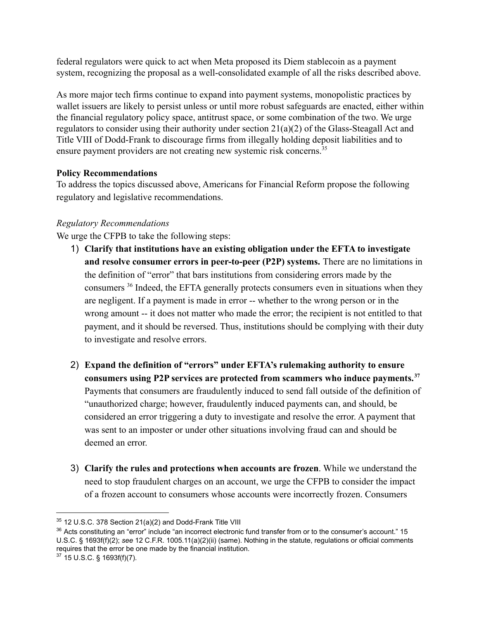federal regulators were quick to act when Meta proposed its Diem stablecoin as a payment system, recognizing the proposal as a well-consolidated example of all the risks described above.

As more major tech firms continue to expand into payment systems, monopolistic practices by wallet issuers are likely to persist unless or until more robust safeguards are enacted, either within the financial regulatory policy space, antitrust space, or some combination of the two. We urge regulators to consider using their authority under section 21(a)(2) of the Glass-Steagall Act and Title VIII of Dodd-Frank to discourage firms from illegally holding deposit liabilities and to ensure payment providers are not creating new systemic risk concerns.<sup>35</sup>

# **Policy Recommendations**

To address the topics discussed above, Americans for Financial Reform propose the following regulatory and legislative recommendations.

# *Regulatory Recommendations*

We urge the CFPB to take the following steps:

- 1) **Clarify that institutions have an existing obligation under the EFTA to investigate and resolve consumer errors in peer-to-peer (P2P) systems.** There are no limitations in the definition of "error" that bars institutions from considering errors made by the consumers  $36$  Indeed, the EFTA generally protects consumers even in situations when they are negligent. If a payment is made in error -- whether to the wrong person or in the wrong amount -- it does not matter who made the error; the recipient is not entitled to that payment, and it should be reversed. Thus, institutions should be complying with their duty to investigate and resolve errors.
- 2) **Expand the definition of "errors" under EFTA's rulemaking authority to ensure consumers using P2P services are protected from scammers who induce payments.<sup>37</sup>** Payments that consumers are fraudulently induced to send fall outside of the definition of "unauthorized charge; however, fraudulently induced payments can, and should, be considered an error triggering a duty to investigate and resolve the error. A payment that was sent to an imposter or under other situations involving fraud can and should be deemed an error.
- 3) **Clarify the rules and protections when accounts are frozen**. While we understand the need to stop fraudulent charges on an account, we urge the CFPB to consider the impact of a frozen account to consumers whose accounts were incorrectly frozen. Consumers

<sup>&</sup>lt;sup>35</sup> 12 U.S.C. 378 Section 21(a)(2) and Dodd-Frank Title VIII

 $36$  Acts constituting an "error" include "an incorrect electronic fund transfer from or to the consumer's account." 15 U.S.C. § 1693f(f)(2); *see* 12 C.F.R. 1005.11(a)(2)(ii) (same). Nothing in the statute, regulations or official comments requires that the error be one made by the financial institution.

<sup>37</sup> 15 U.S.C. § 1693f(f)(7).